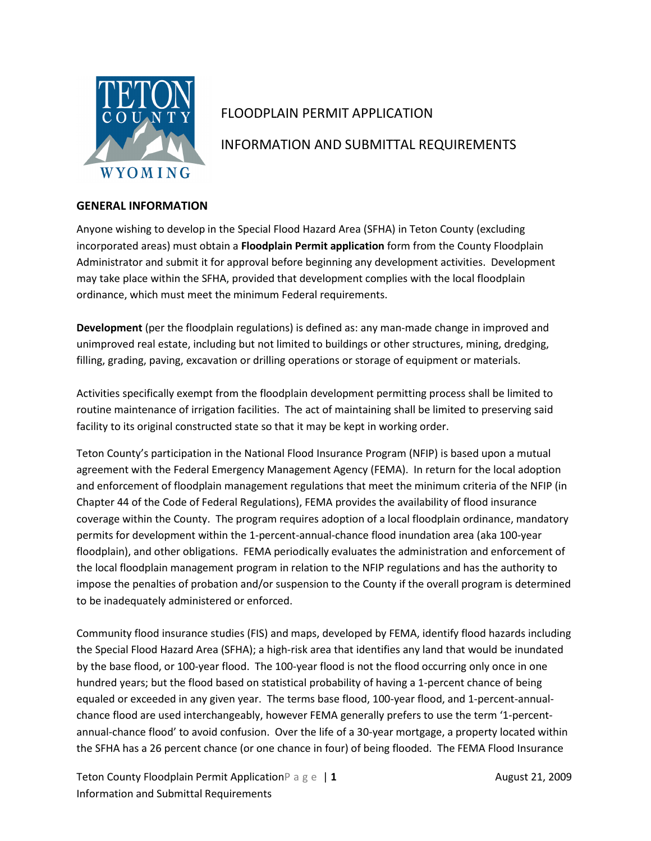

# FLOODPLAIN PERMIT APPLICATION

# INFORMATION AND SUBMITTAL REQUIREMENTS

## GENERAL INFORMATION

Anyone wishing to develop in the Special Flood Hazard Area (SFHA) in Teton County (excluding incorporated areas) must obtain a Floodplain Permit application form from the County Floodplain Administrator and submit it for approval before beginning any development activities. Development may take place within the SFHA, provided that development complies with the local floodplain ordinance, which must meet the minimum Federal requirements.

Development (per the floodplain regulations) is defined as: any man-made change in improved and unimproved real estate, including but not limited to buildings or other structures, mining, dredging, filling, grading, paving, excavation or drilling operations or storage of equipment or materials.

Activities specifically exempt from the floodplain development permitting process shall be limited to routine maintenance of irrigation facilities. The act of maintaining shall be limited to preserving said facility to its original constructed state so that it may be kept in working order.

Teton County's participation in the National Flood Insurance Program (NFIP) is based upon a mutual agreement with the Federal Emergency Management Agency (FEMA). In return for the local adoption and enforcement of floodplain management regulations that meet the minimum criteria of the NFIP (in Chapter 44 of the Code of Federal Regulations), FEMA provides the availability of flood insurance coverage within the County. The program requires adoption of a local floodplain ordinance, mandatory permits for development within the 1-percent-annual-chance flood inundation area (aka 100-year floodplain), and other obligations. FEMA periodically evaluates the administration and enforcement of the local floodplain management program in relation to the NFIP regulations and has the authority to impose the penalties of probation and/or suspension to the County if the overall program is determined to be inadequately administered or enforced.

Community flood insurance studies (FIS) and maps, developed by FEMA, identify flood hazards including the Special Flood Hazard Area (SFHA); a high-risk area that identifies any land that would be inundated by the base flood, or 100-year flood. The 100-year flood is not the flood occurring only once in one hundred years; but the flood based on statistical probability of having a 1-percent chance of being equaled or exceeded in any given year. The terms base flood, 100-year flood, and 1-percent-annualchance flood are used interchangeably, however FEMA generally prefers to use the term '1-percentannual-chance flood' to avoid confusion. Over the life of a 30-year mortgage, a property located within the SFHA has a 26 percent chance (or one chance in four) of being flooded. The FEMA Flood Insurance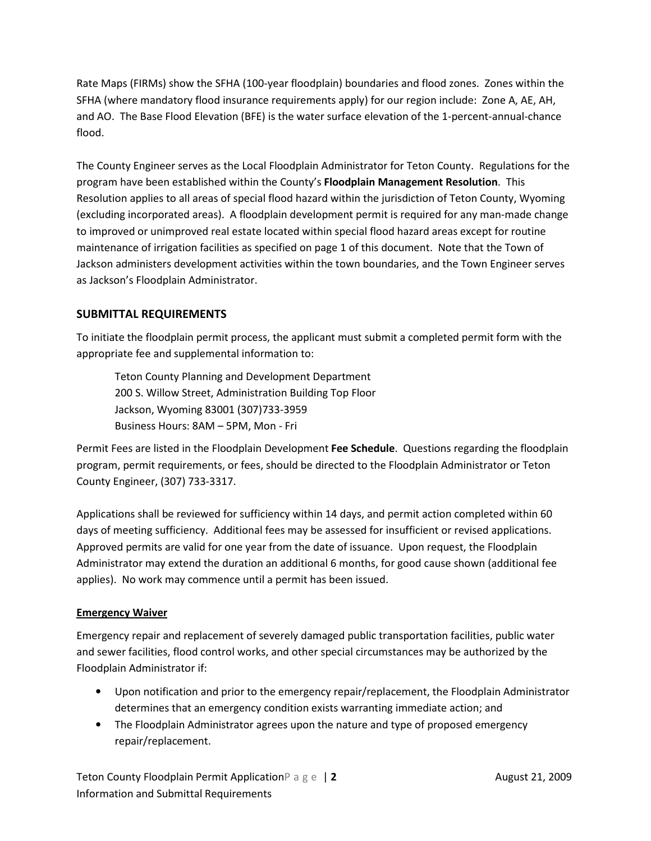Rate Maps (FIRMs) show the SFHA (100-year floodplain) boundaries and flood zones. Zones within the SFHA (where mandatory flood insurance requirements apply) for our region include: Zone A, AE, AH, and AO. The Base Flood Elevation (BFE) is the water surface elevation of the 1-percent-annual-chance flood.

The County Engineer serves as the Local Floodplain Administrator for Teton County. Regulations for the program have been established within the County's Floodplain Management Resolution. This Resolution applies to all areas of special flood hazard within the jurisdiction of Teton County, Wyoming (excluding incorporated areas). A floodplain development permit is required for any man-made change to improved or unimproved real estate located within special flood hazard areas except for routine maintenance of irrigation facilities as specified on page 1 of this document. Note that the Town of Jackson administers development activities within the town boundaries, and the Town Engineer serves as Jackson's Floodplain Administrator.

## SUBMITTAL REQUIREMENTS

To initiate the floodplain permit process, the applicant must submit a completed permit form with the appropriate fee and supplemental information to:

 Teton County Planning and Development Department 200 S. Willow Street, Administration Building Top Floor Jackson, Wyoming 83001 (307)733-3959 Business Hours: 8AM – 5PM, Mon - Fri

Permit Fees are listed in the Floodplain Development Fee Schedule. Questions regarding the floodplain program, permit requirements, or fees, should be directed to the Floodplain Administrator or Teton County Engineer, (307) 733-3317.

Applications shall be reviewed for sufficiency within 14 days, and permit action completed within 60 days of meeting sufficiency. Additional fees may be assessed for insufficient or revised applications. Approved permits are valid for one year from the date of issuance. Upon request, the Floodplain Administrator may extend the duration an additional 6 months, for good cause shown (additional fee applies). No work may commence until a permit has been issued.

## Emergency Waiver

Emergency repair and replacement of severely damaged public transportation facilities, public water and sewer facilities, flood control works, and other special circumstances may be authorized by the Floodplain Administrator if:

- Upon notification and prior to the emergency repair/replacement, the Floodplain Administrator determines that an emergency condition exists warranting immediate action; and
- The Floodplain Administrator agrees upon the nature and type of proposed emergency repair/replacement.

Teton County Floodplain Permit ApplicationP a g e | 2 August 21, 2009 Information and Submittal Requirements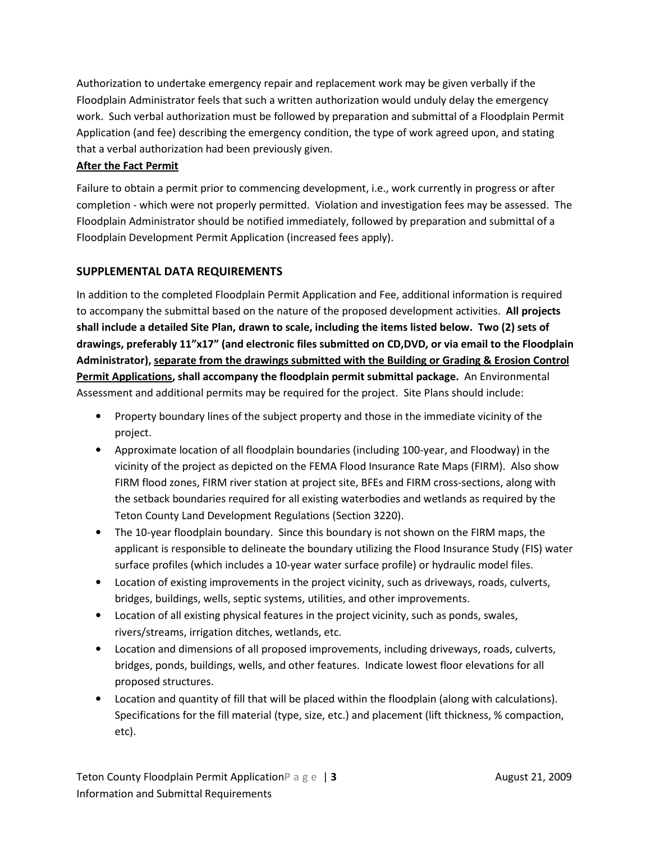Authorization to undertake emergency repair and replacement work may be given verbally if the Floodplain Administrator feels that such a written authorization would unduly delay the emergency work. Such verbal authorization must be followed by preparation and submittal of a Floodplain Permit Application (and fee) describing the emergency condition, the type of work agreed upon, and stating that a verbal authorization had been previously given.

## After the Fact Permit

Failure to obtain a permit prior to commencing development, i.e., work currently in progress or after completion - which were not properly permitted. Violation and investigation fees may be assessed. The Floodplain Administrator should be notified immediately, followed by preparation and submittal of a Floodplain Development Permit Application (increased fees apply).

# SUPPLEMENTAL DATA REQUIREMENTS

In addition to the completed Floodplain Permit Application and Fee, additional information is required to accompany the submittal based on the nature of the proposed development activities. All projects shall include a detailed Site Plan, drawn to scale, including the items listed below. Two (2) sets of drawings, preferably 11"x17" (and electronic files submitted on CD,DVD, or via email to the Floodplain Administrator), separate from the drawings submitted with the Building or Grading & Erosion Control Permit Applications, shall accompany the floodplain permit submittal package. An Environmental Assessment and additional permits may be required for the project. Site Plans should include:

- Property boundary lines of the subject property and those in the immediate vicinity of the project.
- Approximate location of all floodplain boundaries (including 100-year, and Floodway) in the vicinity of the project as depicted on the FEMA Flood Insurance Rate Maps (FIRM). Also show FIRM flood zones, FIRM river station at project site, BFEs and FIRM cross-sections, along with the setback boundaries required for all existing waterbodies and wetlands as required by the Teton County Land Development Regulations (Section 3220).
- The 10-year floodplain boundary. Since this boundary is not shown on the FIRM maps, the applicant is responsible to delineate the boundary utilizing the Flood Insurance Study (FIS) water surface profiles (which includes a 10-year water surface profile) or hydraulic model files.
- Location of existing improvements in the project vicinity, such as driveways, roads, culverts, bridges, buildings, wells, septic systems, utilities, and other improvements.
- Location of all existing physical features in the project vicinity, such as ponds, swales, rivers/streams, irrigation ditches, wetlands, etc.
- Location and dimensions of all proposed improvements, including driveways, roads, culverts, bridges, ponds, buildings, wells, and other features. Indicate lowest floor elevations for all proposed structures.
- Location and quantity of fill that will be placed within the floodplain (along with calculations). Specifications for the fill material (type, size, etc.) and placement (lift thickness, % compaction, etc).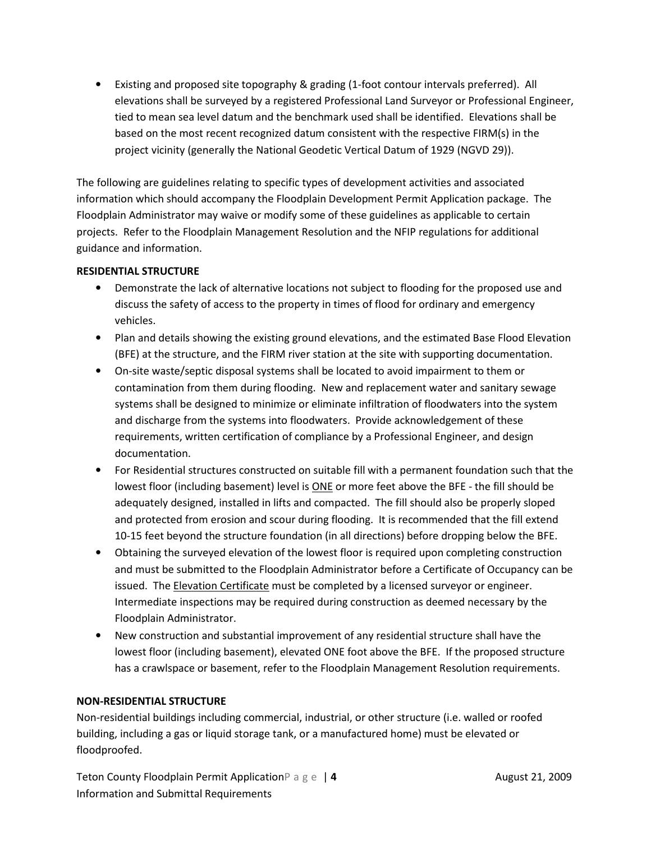• Existing and proposed site topography & grading (1-foot contour intervals preferred). All elevations shall be surveyed by a registered Professional Land Surveyor or Professional Engineer, tied to mean sea level datum and the benchmark used shall be identified. Elevations shall be based on the most recent recognized datum consistent with the respective FIRM(s) in the project vicinity (generally the National Geodetic Vertical Datum of 1929 (NGVD 29)).

The following are guidelines relating to specific types of development activities and associated information which should accompany the Floodplain Development Permit Application package. The Floodplain Administrator may waive or modify some of these guidelines as applicable to certain projects. Refer to the Floodplain Management Resolution and the NFIP regulations for additional guidance and information.

#### RESIDENTIAL STRUCTURE

- Demonstrate the lack of alternative locations not subject to flooding for the proposed use and discuss the safety of access to the property in times of flood for ordinary and emergency vehicles.
- Plan and details showing the existing ground elevations, and the estimated Base Flood Elevation (BFE) at the structure, and the FIRM river station at the site with supporting documentation.
- On-site waste/septic disposal systems shall be located to avoid impairment to them or contamination from them during flooding. New and replacement water and sanitary sewage systems shall be designed to minimize or eliminate infiltration of floodwaters into the system and discharge from the systems into floodwaters. Provide acknowledgement of these requirements, written certification of compliance by a Professional Engineer, and design documentation.
- For Residential structures constructed on suitable fill with a permanent foundation such that the lowest floor (including basement) level is ONE or more feet above the BFE - the fill should be adequately designed, installed in lifts and compacted. The fill should also be properly sloped and protected from erosion and scour during flooding. It is recommended that the fill extend 10-15 feet beyond the structure foundation (in all directions) before dropping below the BFE.
- Obtaining the surveyed elevation of the lowest floor is required upon completing construction and must be submitted to the Floodplain Administrator before a Certificate of Occupancy can be issued. The **Elevation Certificate** must be completed by a licensed surveyor or engineer. Intermediate inspections may be required during construction as deemed necessary by the Floodplain Administrator.
- New construction and substantial improvement of any residential structure shall have the lowest floor (including basement), elevated ONE foot above the BFE. If the proposed structure has a crawlspace or basement, refer to the Floodplain Management Resolution requirements.

#### NON-RESIDENTIAL STRUCTURE

Non-residential buildings including commercial, industrial, or other structure (i.e. walled or roofed building, including a gas or liquid storage tank, or a manufactured home) must be elevated or floodproofed.

Teton County Floodplain Permit Application P a g e | 4 August 21, 2009 Information and Submittal Requirements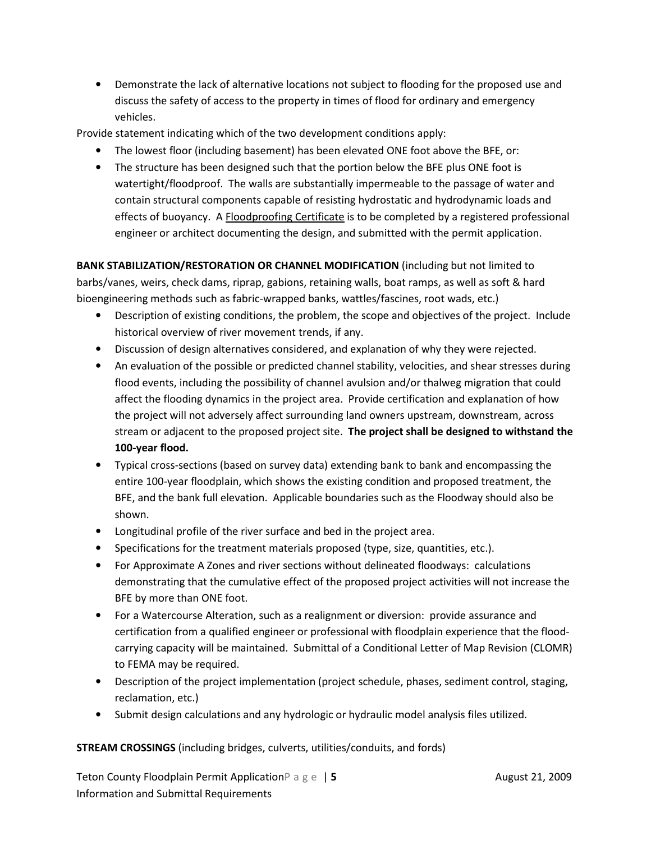• Demonstrate the lack of alternative locations not subject to flooding for the proposed use and discuss the safety of access to the property in times of flood for ordinary and emergency vehicles.

Provide statement indicating which of the two development conditions apply:

- The lowest floor (including basement) has been elevated ONE foot above the BFE, or:
- The structure has been designed such that the portion below the BFE plus ONE foot is watertight/floodproof. The walls are substantially impermeable to the passage of water and contain structural components capable of resisting hydrostatic and hydrodynamic loads and effects of buoyancy. A Floodproofing Certificate is to be completed by a registered professional engineer or architect documenting the design, and submitted with the permit application.

BANK STABILIZATION/RESTORATION OR CHANNEL MODIFICATION (including but not limited to barbs/vanes, weirs, check dams, riprap, gabions, retaining walls, boat ramps, as well as soft & hard bioengineering methods such as fabric-wrapped banks, wattles/fascines, root wads, etc.)

- Description of existing conditions, the problem, the scope and objectives of the project. Include historical overview of river movement trends, if any.
- Discussion of design alternatives considered, and explanation of why they were rejected.
- An evaluation of the possible or predicted channel stability, velocities, and shear stresses during flood events, including the possibility of channel avulsion and/or thalweg migration that could affect the flooding dynamics in the project area. Provide certification and explanation of how the project will not adversely affect surrounding land owners upstream, downstream, across stream or adjacent to the proposed project site. The project shall be designed to withstand the 100-year flood.
- Typical cross-sections (based on survey data) extending bank to bank and encompassing the entire 100-year floodplain, which shows the existing condition and proposed treatment, the BFE, and the bank full elevation. Applicable boundaries such as the Floodway should also be shown.
- Longitudinal profile of the river surface and bed in the project area.
- Specifications for the treatment materials proposed (type, size, quantities, etc.).
- For Approximate A Zones and river sections without delineated floodways: calculations demonstrating that the cumulative effect of the proposed project activities will not increase the BFE by more than ONE foot.
- For a Watercourse Alteration, such as a realignment or diversion: provide assurance and certification from a qualified engineer or professional with floodplain experience that the floodcarrying capacity will be maintained. Submittal of a Conditional Letter of Map Revision (CLOMR) to FEMA may be required.
- Description of the project implementation (project schedule, phases, sediment control, staging, reclamation, etc.)
- Submit design calculations and any hydrologic or hydraulic model analysis files utilized.

STREAM CROSSINGS (including bridges, culverts, utilities/conduits, and fords)

Teton County Floodplain Permit ApplicationP a g e | 5 August 21, 2009 Information and Submittal Requirements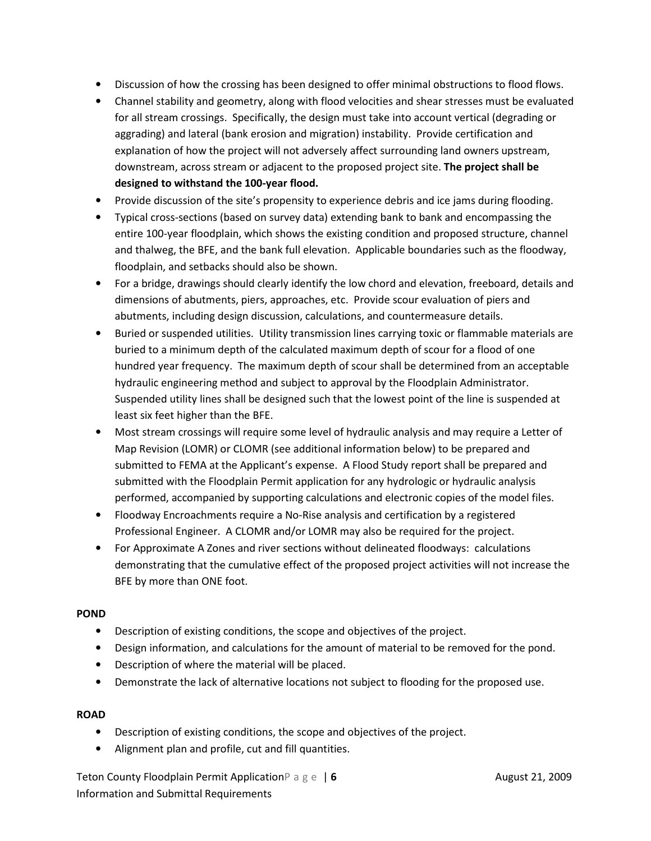- Discussion of how the crossing has been designed to offer minimal obstructions to flood flows.
- Channel stability and geometry, along with flood velocities and shear stresses must be evaluated for all stream crossings. Specifically, the design must take into account vertical (degrading or aggrading) and lateral (bank erosion and migration) instability. Provide certification and explanation of how the project will not adversely affect surrounding land owners upstream, downstream, across stream or adjacent to the proposed project site. The project shall be designed to withstand the 100-year flood.
- Provide discussion of the site's propensity to experience debris and ice jams during flooding.
- Typical cross-sections (based on survey data) extending bank to bank and encompassing the entire 100-year floodplain, which shows the existing condition and proposed structure, channel and thalweg, the BFE, and the bank full elevation. Applicable boundaries such as the floodway, floodplain, and setbacks should also be shown.
- For a bridge, drawings should clearly identify the low chord and elevation, freeboard, details and dimensions of abutments, piers, approaches, etc. Provide scour evaluation of piers and abutments, including design discussion, calculations, and countermeasure details.
- Buried or suspended utilities. Utility transmission lines carrying toxic or flammable materials are buried to a minimum depth of the calculated maximum depth of scour for a flood of one hundred year frequency. The maximum depth of scour shall be determined from an acceptable hydraulic engineering method and subject to approval by the Floodplain Administrator. Suspended utility lines shall be designed such that the lowest point of the line is suspended at least six feet higher than the BFE.
- Most stream crossings will require some level of hydraulic analysis and may require a Letter of Map Revision (LOMR) or CLOMR (see additional information below) to be prepared and submitted to FEMA at the Applicant's expense. A Flood Study report shall be prepared and submitted with the Floodplain Permit application for any hydrologic or hydraulic analysis performed, accompanied by supporting calculations and electronic copies of the model files.
- Floodway Encroachments require a No-Rise analysis and certification by a registered Professional Engineer. A CLOMR and/or LOMR may also be required for the project.
- For Approximate A Zones and river sections without delineated floodways: calculations demonstrating that the cumulative effect of the proposed project activities will not increase the BFE by more than ONE foot.

## POND

- Description of existing conditions, the scope and objectives of the project.
- Design information, and calculations for the amount of material to be removed for the pond.
- Description of where the material will be placed.
- Demonstrate the lack of alternative locations not subject to flooding for the proposed use.

## ROAD

- Description of existing conditions, the scope and objectives of the project.
- Alignment plan and profile, cut and fill quantities.

Teton County Floodplain Permit Application  $P \circ g \circ \big| 6$  August 21, 2009 Information and Submittal Requirements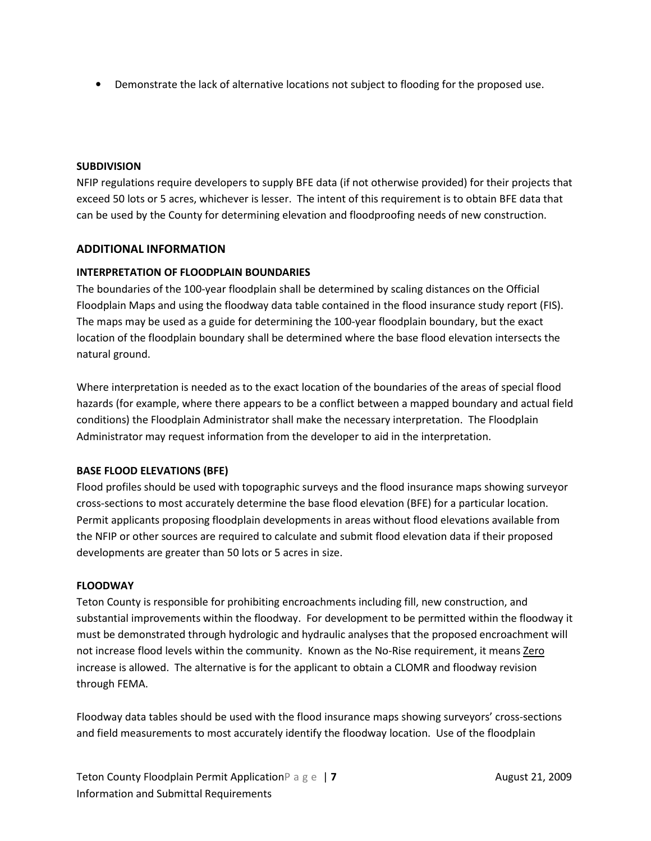• Demonstrate the lack of alternative locations not subject to flooding for the proposed use.

#### SUBDIVISION

NFIP regulations require developers to supply BFE data (if not otherwise provided) for their projects that exceed 50 lots or 5 acres, whichever is lesser. The intent of this requirement is to obtain BFE data that can be used by the County for determining elevation and floodproofing needs of new construction.

#### ADDITIONAL INFORMATION

#### INTERPRETATION OF FLOODPLAIN BOUNDARIES

The boundaries of the 100-year floodplain shall be determined by scaling distances on the Official Floodplain Maps and using the floodway data table contained in the flood insurance study report (FIS). The maps may be used as a guide for determining the 100-year floodplain boundary, but the exact location of the floodplain boundary shall be determined where the base flood elevation intersects the natural ground.

Where interpretation is needed as to the exact location of the boundaries of the areas of special flood hazards (for example, where there appears to be a conflict between a mapped boundary and actual field conditions) the Floodplain Administrator shall make the necessary interpretation. The Floodplain Administrator may request information from the developer to aid in the interpretation.

#### BASE FLOOD ELEVATIONS (BFE)

Flood profiles should be used with topographic surveys and the flood insurance maps showing surveyor cross-sections to most accurately determine the base flood elevation (BFE) for a particular location. Permit applicants proposing floodplain developments in areas without flood elevations available from the NFIP or other sources are required to calculate and submit flood elevation data if their proposed developments are greater than 50 lots or 5 acres in size.

#### FLOODWAY

Teton County is responsible for prohibiting encroachments including fill, new construction, and substantial improvements within the floodway. For development to be permitted within the floodway it must be demonstrated through hydrologic and hydraulic analyses that the proposed encroachment will not increase flood levels within the community. Known as the No-Rise requirement, it means Zero increase is allowed. The alternative is for the applicant to obtain a CLOMR and floodway revision through FEMA.

Floodway data tables should be used with the flood insurance maps showing surveyors' cross-sections and field measurements to most accurately identify the floodway location. Use of the floodplain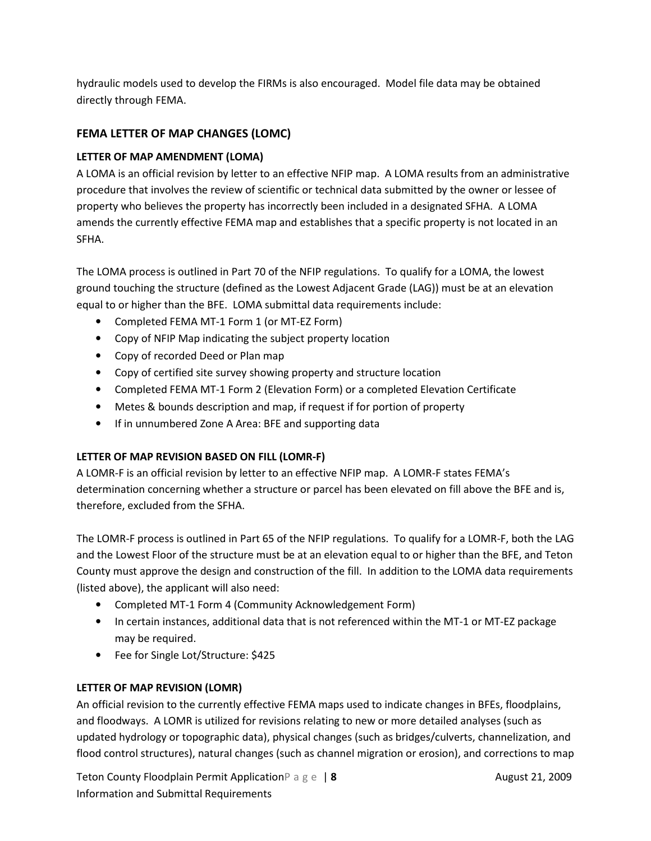hydraulic models used to develop the FIRMs is also encouraged. Model file data may be obtained directly through FEMA.

# FEMA LETTER OF MAP CHANGES (LOMC)

## LETTER OF MAP AMENDMENT (LOMA)

A LOMA is an official revision by letter to an effective NFIP map. A LOMA results from an administrative procedure that involves the review of scientific or technical data submitted by the owner or lessee of property who believes the property has incorrectly been included in a designated SFHA. A LOMA amends the currently effective FEMA map and establishes that a specific property is not located in an SFHA.

The LOMA process is outlined in Part 70 of the NFIP regulations. To qualify for a LOMA, the lowest ground touching the structure (defined as the Lowest Adjacent Grade (LAG)) must be at an elevation equal to or higher than the BFE. LOMA submittal data requirements include:

- Completed FEMA MT-1 Form 1 (or MT-EZ Form)
- Copy of NFIP Map indicating the subject property location
- Copy of recorded Deed or Plan map
- Copy of certified site survey showing property and structure location
- Completed FEMA MT-1 Form 2 (Elevation Form) or a completed Elevation Certificate
- Metes & bounds description and map, if request if for portion of property
- If in unnumbered Zone A Area: BFE and supporting data

## LETTER OF MAP REVISION BASED ON FILL (LOMR-F)

A LOMR-F is an official revision by letter to an effective NFIP map. A LOMR-F states FEMA's determination concerning whether a structure or parcel has been elevated on fill above the BFE and is, therefore, excluded from the SFHA.

The LOMR-F process is outlined in Part 65 of the NFIP regulations. To qualify for a LOMR-F, both the LAG and the Lowest Floor of the structure must be at an elevation equal to or higher than the BFE, and Teton County must approve the design and construction of the fill. In addition to the LOMA data requirements (listed above), the applicant will also need:

- Completed MT-1 Form 4 (Community Acknowledgement Form)
- In certain instances, additional data that is not referenced within the MT-1 or MT-EZ package may be required.
- Fee for Single Lot/Structure: \$425

## LETTER OF MAP REVISION (LOMR)

An official revision to the currently effective FEMA maps used to indicate changes in BFEs, floodplains, and floodways. A LOMR is utilized for revisions relating to new or more detailed analyses (such as updated hydrology or topographic data), physical changes (such as bridges/culverts, channelization, and flood control structures), natural changes (such as channel migration or erosion), and corrections to map

Teton County Floodplain Permit Application  $P \circ g \circ \cdot \cdot \cdot$  August 21, 2009 Information and Submittal Requirements